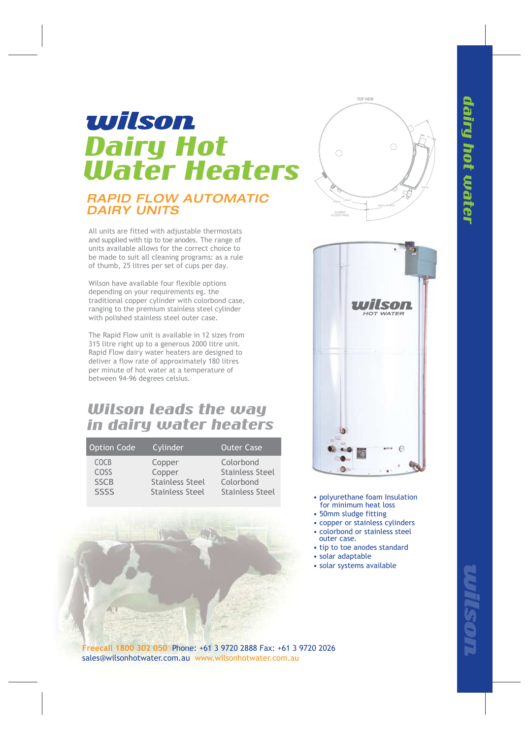# wilson Dairy Hot Water Heaters

### *RAPID FLOW AUTOMATIC DAIRY UNITS*

All units are fitted with adjustable thermostats and supplied with tip to toe anodes. The range of units available allows for the correct choice to be made to suit all cleaning programs: as a rule of thumb, 25 litres per set of cups per day.

Wilson have available four flexible options depending on your requirements eg. the traditional copper cylinder with colorbond case, ranging to the premium stainless steel cylinder with polished stainless steel outer case.

The Rapid Flow unit is available in 12 sizes from 315 litre right up to a generous 2000 litre unit. Rapid Flow dairy water heaters are designed to deliver a flow rate of approximately 180 litres per minute of hot water at a temperature of between 94-96 degrees celsius.

## Wilson leads the way in dairy water heaters

| <b>Option Code</b> | Cylinder               | <b>Outer Case</b>      |
|--------------------|------------------------|------------------------|
| <b>COCB</b>        | Copper                 | Colorbond              |
| COSS               | Copper                 | <b>Stainless Steel</b> |
| <b>SSCB</b>        | <b>Stainless Steel</b> | Colorbond              |
| <b>SSSS</b>        | <b>Stainless Steel</b> | <b>Stainless Steel</b> |







- polyurethane foam Insulation for minimum heat loss
- 50mm sludge fitting
- copper or stainless cylinders
- colorbond or stainless steel outer case.
- tip to toe anodes standard
- solar adaptable
- solar systems available

**Freecall 1800 302 050** Phone: +61 3 9720 2888 Fax: +61 3 9720 2026 sales@wilsonhotwater.com.au www.wilsonhotwater.com.au